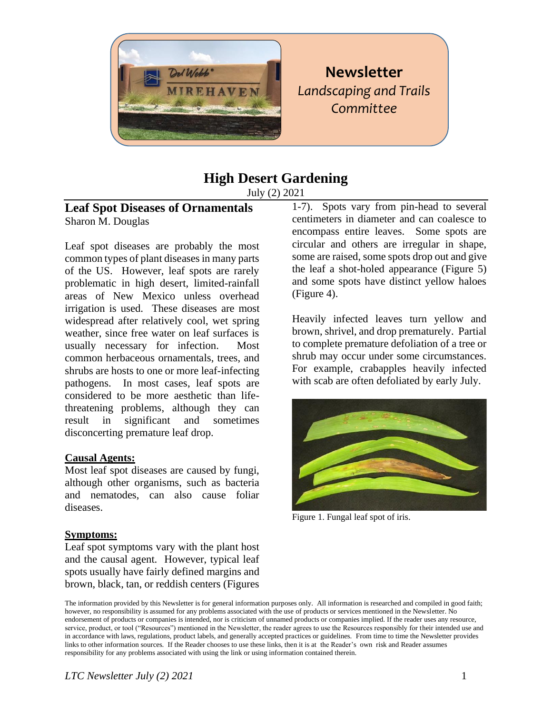

# **Newsletter** *Landscaping and Trails Committee*

# **High Desert Gardening**

July (2) 2021

## **Leaf Spot Diseases of Ornamentals** Sharon M. Douglas

Leaf spot diseases are probably the most common types of plant diseases in many parts of the US. However, leaf spots are rarely problematic in high desert, limited-rainfall areas of New Mexico unless overhead irrigation is used. These diseases are most widespread after relatively cool, wet spring weather, since free water on leaf surfaces is usually necessary for infection. Most common herbaceous ornamentals, trees, and shrubs are hosts to one or more leaf-infecting pathogens. In most cases, leaf spots are considered to be more aesthetic than lifethreatening problems, although they can result in significant and sometimes disconcerting premature leaf drop.

## **Causal Agents:**

Most leaf spot diseases are caused by fungi, although other organisms, such as bacteria and nematodes, can also cause foliar diseases.

#### **Symptoms:**

Leaf spot symptoms vary with the plant host and the causal agent. However, typical leaf spots usually have fairly defined margins and brown, black, tan, or reddish centers (Figures

1-7). Spots vary from pin-head to several centimeters in diameter and can coalesce to encompass entire leaves. Some spots are circular and others are irregular in shape, some are raised, some spots drop out and give the leaf a shot-holed appearance (Figure 5) and some spots have distinct yellow haloes (Figure 4).

Heavily infected leaves turn yellow and brown, shrivel, and drop prematurely. Partial to complete premature defoliation of a tree or shrub may occur under some circumstances. For example, crabapples heavily infected with scab are often defoliated by early July.



Figure 1. Fungal leaf spot of iris.

The information provided by this Newsletter is for general information purposes only. All information is researched and compiled in good faith; however, no responsibility is assumed for any problems associated with the use of products or services mentioned in the Newsletter. No endorsement of products or companies is intended, nor is criticism of unnamed products or companies implied. If the reader uses any resource, service, product, or tool ("Resources") mentioned in the Newsletter, the reader agrees to use the Resources responsibly for their intended use and in accordance with laws, regulations, product labels, and generally accepted practices or guidelines. From time to time the Newsletter provides links to other information sources. If the Reader chooses to use these links, then it is at the Reader's own risk and Reader assumes responsibility for any problems associated with using the link or using information contained therein.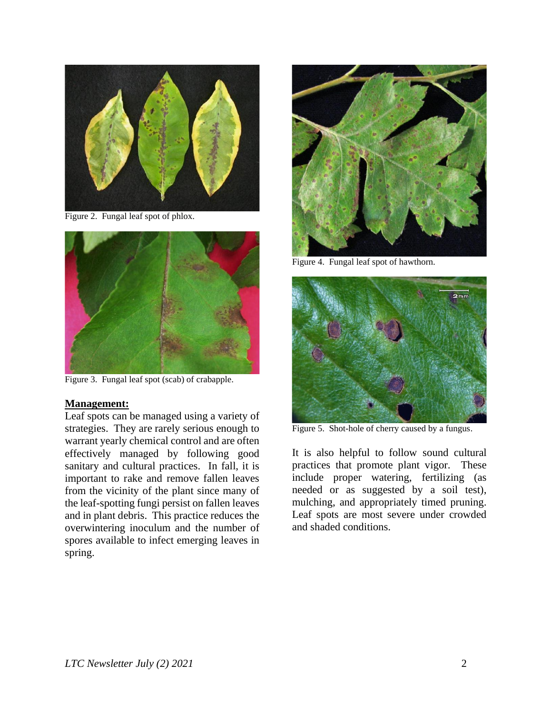

Figure 2. Fungal leaf spot of phlox.



Figure 3. Fungal leaf spot (scab) of crabapple.

#### **Management:**

Leaf spots can be managed using a variety of strategies. They are rarely serious enough to warrant yearly chemical control and are often effectively managed by following good sanitary and cultural practices. In fall, it is important to rake and remove fallen leaves from the vicinity of the plant since many of the leaf-spotting fungi persist on fallen leaves and in plant debris. This practice reduces the overwintering inoculum and the number of spores available to infect emerging leaves in spring.



Figure 4. Fungal leaf spot of hawthorn.



Figure 5. Shot-hole of cherry caused by a fungus.

It is also helpful to follow sound cultural practices that promote plant vigor. These include proper watering, fertilizing (as needed or as suggested by a soil test), mulching, and appropriately timed pruning. Leaf spots are most severe under crowded and shaded conditions.